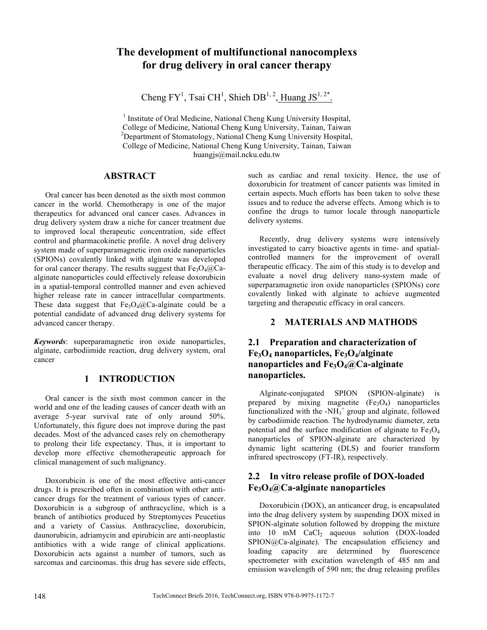# **The development of multifunctional nanocomplexs for drug delivery in oral cancer therapy**

Cheng FY<sup>1</sup>, Tsai CH<sup>1</sup>, Shieh DB<sup>1, 2</sup>, Huang JS<sup>1, 2\*</sup>.

<sup>1</sup> Institute of Oral Medicine, National Cheng Kung University Hospital, College of Medicine, National Cheng Kung University, Tainan, Taiwan <sup>2</sup>  $^{2}$ Department of Stomatology, National Cheng Kung University Hospital, College of Medicine, National Cheng Kung University, Tainan, Taiwan huangjs@mail.ncku.edu.tw

### **ABSTRACT**

Oral cancer has been denoted as the sixth most common cancer in the world. Chemotherapy is one of the major therapeutics for advanced oral cancer cases. Advances in drug delivery system draw a niche for cancer treatment due to improved local therapeutic concentration, side effect control and pharmacokinetic profile. A novel drug delivery system made of superparamagnetic iron oxide nanoparticles (SPIONs) covalently linked with alginate was developed for oral cancer therapy. The results suggest that  $Fe<sub>3</sub>O<sub>4</sub>(Q<sub>4</sub>)$ alginate nanoparticles could effectively release doxorubicin in a spatial-temporal controlled manner and even achieved higher release rate in cancer intracellular compartments. These data suggest that  $Fe<sub>3</sub>O<sub>4</sub>(a)Ca$ -alginate could be a potential candidate of advanced drug delivery systems for advanced cancer therapy.

*Keywords*: superparamagnetic iron oxide nanoparticles, alginate, carbodiimide reaction, drug delivery system, oral cancer

### **1 INTRODUCTION**

Oral cancer is the sixth most common cancer in the world and one of the leading causes of cancer death with an average 5-year survival rate of only around 50%. Unfortunately, this figure does not improve during the past decades. Most of the advanced cases rely on chemotherapy to prolong their life expectancy. Thus, it is important to develop more effective chemotherapeutic approach for clinical management of such malignancy.

Doxorubicin is one of the most effective anti-cancer drugs. It is prescribed often in combination with other anticancer drugs for the treatment of various types of cancer. Doxorubicin is a subgroup of anthracycline, which is a branch of antibiotics produced by Streptomyces Peucetius and a variety of Cassius. Anthracycline, doxorubicin, daunorubicin, adriamycin and epirubicin are anti-neoplastic antibiotics with a wide range of clinical applications. Doxorubicin acts against a number of tumors, such as sarcomas and carcinomas. this drug has severe side effects,

such as cardiac and renal toxicity. Hence, the use of doxorubicin for treatment of cancer patients was limited in certain aspects. Much efforts has been taken to solve these issues and to reduce the adverse effects. Among which is to confine the drugs to tumor locale through nanoparticle delivery systems.

Recently, drug delivery systems were intensively investigated to carry bioactive agents in time- and spatialcontrolled manners for the improvement of overall therapeutic efficacy. The aim of this study is to develop and evaluate a novel drug delivery nano-system made of superparamagnetic iron oxide nanoparticles (SPIONs) core covalently linked with alginate to achieve augmented targeting and therapeutic efficacy in oral cancers.

### **2 MATERIALS AND MATHODS**

### **2.1 Preparation and characterization of Fe3O4 nanoparticles, Fe3O4/alginate nanoparticles and Fe3O4@Ca-alginate nanoparticles.**

Alginate-conjugated SPION (SPION-alginate) is prepared by mixing magnetite  $(Fe<sub>3</sub>O<sub>4</sub>)$  nanoparticles functionalized with the  $-NH_3$ <sup>+</sup> group and alginate, followed by carbodiimide reaction. The hydrodynamic diameter, zeta potential and the surface modification of alginate to  $Fe<sub>3</sub>O<sub>4</sub>$ nanoparticles of SPION-alginate are characterized by dynamic light scattering (DLS) and fourier transform infrared spectroscopy (FT-IR), respectively.

## **2.2 In vitro release profile of DOX-loaded Fe3O4@Ca-alginate nanoparticles**

Doxorubicin (DOX), an anticancer drug, is encapsulated into the drug delivery system by suspending DOX mixed in SPION-alginate solution followed by dropping the mixture into 10 mM CaCl<sub>2</sub> aqueous solution (DOX-loaded SPION@Ca-alginate). The encapsulation efficiency and loading capacity are determined by fluorescence spectrometer with excitation wavelength of 485 nm and emission wavelength of 590 nm; the drug releasing profiles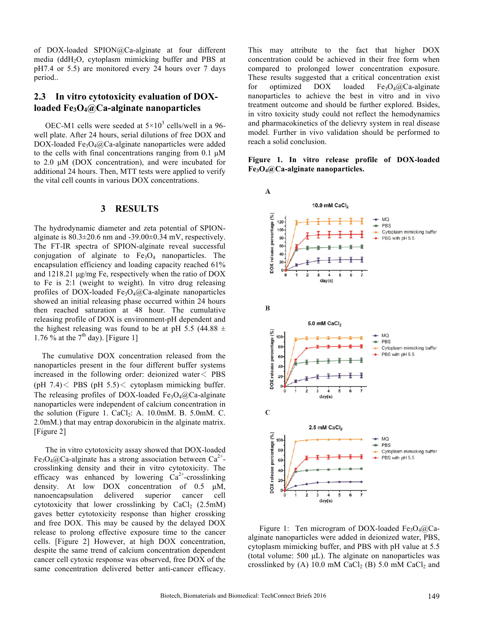of DOX-loaded SPION@Ca-alginate at four different media (ddH2O, cytoplasm mimicking buffer and PBS at pH7.4 or 5.5) are monitored every 24 hours over 7 days period..

### **2.3 In vitro cytotoxicity evaluation of DOXloaded Fe3O4@Ca-alginate nanoparticles**

OEC-M1 cells were seeded at  $5\times10^3$  cells/well in a 96well plate. After 24 hours, serial dilutions of free DOX and  $DOX$ -loaded Fe<sub>3</sub>O<sub>4</sub>@Ca-alginate nanoparticles were added to the cells with final concentrations ranging from  $0.1 \mu M$ to 2.0 µM (DOX concentration), and were incubated for additional 24 hours. Then, MTT tests were applied to verify the vital cell counts in various DOX concentrations.

#### **3 RESULTS**

The hydrodynamic diameter and zeta potential of SPIONalginate is  $80.3 \pm 20.6$  nm and  $-39.00 \pm 0.34$  mV, respectively. The FT-IR spectra of SPION-alginate reveal successful conjugation of alginate to  $Fe<sub>3</sub>O<sub>4</sub>$  nanoparticles. The encapsulation efficiency and loading capacity reached 61% and 1218.21 µg/mg Fe, respectively when the ratio of DOX to Fe is 2:1 (weight to weight). In vitro drug releasing profiles of DOX-loaded Fe<sub>3</sub>O<sub>4</sub> $@$ Ca-alginate nanoparticles showed an initial releasing phase occurred within 24 hours then reached saturation at 48 hour. The cumulative releasing profile of DOX is environment-pH dependent and the highest releasing was found to be at pH 5.5 (44.88  $\pm$ 1.76 % at the  $7<sup>th</sup>$  day). [Figure 1]

The cumulative DOX concentration released from the nanoparticles present in the four different buffer systems increased in the following order: deionized water< PBS (pH  $7.4$ ) < PBS (pH  $5.5$ ) < cytoplasm mimicking buffer. The releasing profiles of DOX-loaded Fe<sub>3</sub>O<sub>4</sub> $@$ Ca-alginate nanoparticles were independent of calcium concentration in the solution (Figure 1. CaCl<sub>2</sub>: A. 10.0mM. B. 5.0mM. C. 2.0mM.) that may entrap doxorubicin in the alginate matrix. [Figure 2]

The in vitro cytotoxicity assay showed that DOX-loaded Fe<sub>3</sub>O<sub>4</sub>@Ca-alginate has a strong association between  $Ca^{2+}$ crosslinking density and their in vitro cytotoxicity. The efficacy was enhanced by lowering  $Ca^{2+}$ -crosslinking density. At low DOX concentration of 0.5 µM, nanoencapsulation delivered superior cancer cell cytotoxicity that lower crosslinking by  $CaCl<sub>2</sub>$  (2.5mM) gaves better cytotoxicity response than higher crossking and free DOX. This may be caused by the delayed DOX release to prolong effective exposure time to the cancer cells. [Figure 2] However, at high DOX concentration, despite the same trend of calcium concentration dependent cancer cell cytoxic response was observed, free DOX of the same concentration delivered better anti-cancer efficacy.

This may attribute to the fact that higher DOX concentration could be achieved in their free form when compared to prolonged lower concentration exposure. These results suggested that a critical concentration exist for optimized  $DOX$  loaded  $Fe<sub>3</sub>O<sub>4</sub>(a)Ca-alginate$ nanoparticles to achieve the best in vitro and in vivo treatment outcome and should be further explored. Bsides, in vitro toxicity study could not reflect the hemodynamics and pharmacokinetics of the delievry system in real disease model. Further in vivo validation should be performed to reach a solid conclusion.

**Figure 1. In vitro release profile of DOX-loaded Fe3O4@Ca-alginate nanoparticles.** 



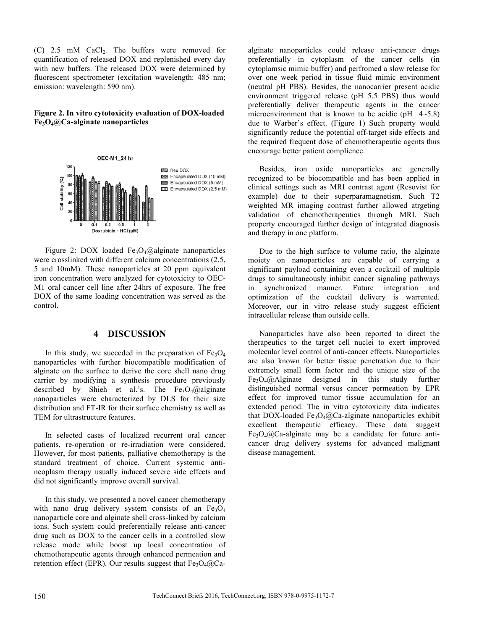$(C)$  2.5 mM CaCl<sub>2</sub>. The buffers were removed for quantification of released DOX and replenished every day with new buffers. The released DOX were determined by fluorescent spectrometer (excitation wavelength: 485 nm; emission: wavelength: 590 nm).

#### **Figure 2. In vitro cytotoxicity evaluation of DOX-loaded Fe3O4@Ca-alginate nanoparticles**



Figure 2: DOX loaded Fe<sub>3</sub>O<sub>4</sub>@alginate nanoparticles were crosslinked with different calcium concentrations (2.5, 5 and 10mM). These nanoparticles at 20 ppm equivalent iron concentration were analyzed for cytotoxicity to OEC-M1 oral cancer cell line after 24hrs of exposure. The free DOX of the same loading concentration was served as the control.

#### **4 DISCUSSION**

In this study, we succeded in the preparation of  $Fe<sub>3</sub>O<sub>4</sub>$ nanoparticles with further biocompatible modification of alginate on the surface to derive the core shell nano drug carrier by modifying a synthesis procedure previously described by Shieh et al.'s. The Fe<sub>3</sub>O<sub>4</sub>@alginate nanoparticles were characterized by DLS for their size distribution and FT-IR for their surface chemistry as well as TEM for ultrastructure features.

In selected cases of localized recurrent oral cancer patients, re-operation or re-irradiation were considered. However, for most patients, palliative chemotherapy is the standard treatment of choice. Current systemic antineoplasm therapy usually induced severe side effects and did not significantly improve overall survival.

In this study, we presented a novel cancer chemotherapy with nano drug delivery system consists of an  $Fe<sub>3</sub>O<sub>4</sub>$ nanoparticle core and alginate shell cross-linked by calcium ions. Such system could preferentially release anti-cancer drug such as DOX to the cancer cells in a controlled slow release mode while boost up local concentration of chemotherapeutic agents through enhanced permeation and retention effect (EPR). Our results suggest that  $Fe<sub>3</sub>O<sub>4</sub>( $\partial$ )Ca-$  alginate nanoparticles could release anti-cancer drugs preferentially in cytoplasm of the cancer cells (in cytoplamsic mimic buffer) and perfromed a slow release for over one week period in tissue fluid mimic environment (neutral pH PBS). Besides, the nanocarrier present acidic environment triggered release (pH 5.5 PBS) thus would preferentially deliver therapeutic agents in the cancer microenvironment that is known to be acidic (pH  $4 \sim 5.8$ ) due to Warber's effect. (Figure 1) Such property would significantly reduce the potential off-target side effects and the required frequent dose of chemotherapeutic agents thus encourage better patient complience.

Besides, iron oxide nanoparticles are generally recognized to be biocompatible and has been applied in clinical settings such as MRI contrast agent (Resovist for example) due to their superparamagnetism. Such T2 weighted MR imaging contrast further allowed atrgeting validation of chemotherapeutics through MRI. Such property encouraged further design of integrated diagnosis and therapy in one platform.

Due to the high surface to volume ratio, the alginate moiety on nanoparticles are capable of carrying a significant payload containing even a cocktail of multiple drugs to simultaneously inhibit cancer signaling pathways in synchronized manner. Future integration and optimization of the cocktail delivery is warrented. Moreover, our in vitro release study suggest efficient intracellular release than outside cells.

Nanoparticles have also been reported to direct the therapeutics to the target cell nuclei to exert improved molecular level control of anti-cancer effects. Nanoparticles are also known for better tissue penetration due to their extremely small form factor and the unique size of the  $Fe<sub>3</sub>O<sub>4</sub>(a)$  Alginate designed in this study further distinguished normal versus cancer permeation by EPR effect for improved tumor tissue accumulation for an extended period. The in vitro cytotoxicity data indicates that DOX-loaded Fe<sub>3</sub>O<sub>4</sub>@Ca-alginate nanoparticles exhibit excellent therapeutic efficacy. These data suggest  $Fe<sub>3</sub>O<sub>4</sub>(a)$ Ca-alginate may be a candidate for future anticancer drug delivery systems for advanced malignant disease management.